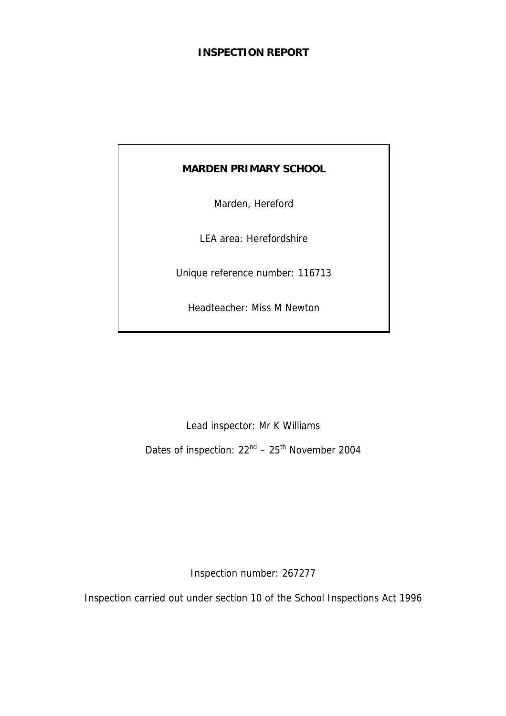# **INSPECTION REPORT**

# **MARDEN PRIMARY SCHOOL**

Marden, Hereford

LEA area: Herefordshire

Unique reference number: 116713

Headteacher: Miss M Newton

Lead inspector: Mr K Williams

Dates of inspection:  $22<sup>nd</sup> - 25<sup>th</sup>$  November 2004

Inspection number: 267277

Inspection carried out under section 10 of the School Inspections Act 1996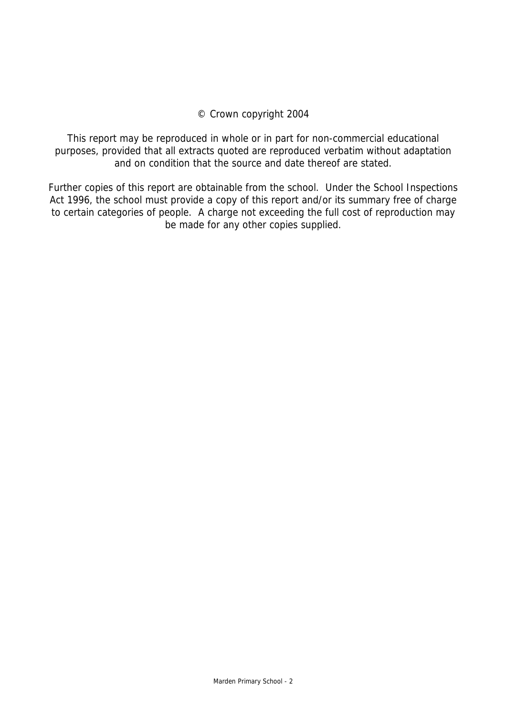## © Crown copyright 2004

This report may be reproduced in whole or in part for non-commercial educational purposes, provided that all extracts quoted are reproduced verbatim without adaptation and on condition that the source and date thereof are stated.

Further copies of this report are obtainable from the school. Under the School Inspections Act 1996, the school must provide a copy of this report and/or its summary free of charge to certain categories of people. A charge not exceeding the full cost of reproduction may be made for any other copies supplied.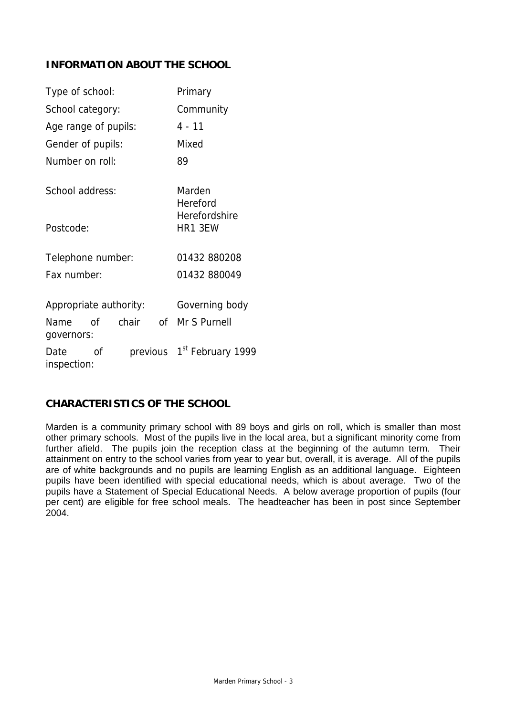# **INFORMATION ABOUT THE SCHOOL**

| Type of school:        |    | Primary                         |  |                                        |
|------------------------|----|---------------------------------|--|----------------------------------------|
| School category:       |    | Community                       |  |                                        |
| Age range of pupils:   |    |                                 |  | $4 - 11$                               |
| Gender of pupils:      |    |                                 |  | Mixed                                  |
| Number on roll:        |    |                                 |  | 89                                     |
| School address:        |    |                                 |  | Marden<br>Hereford                     |
| Postcode:              |    | <b>Herefordshire</b><br>HR1 3EW |  |                                        |
| Telephone number:      |    |                                 |  | 01432 880208                           |
| Fax number:            |    |                                 |  | 01432 880049                           |
| Appropriate authority: |    |                                 |  | Governing body                         |
| Name                   | 0f | chair of                        |  | Mr S Purnell                           |
| governors:             |    |                                 |  |                                        |
| Date<br>inspection:    | Ωf |                                 |  | previous 1 <sup>st</sup> February 1999 |

### **CHARACTERISTICS OF THE SCHOOL**

Marden is a community primary school with 89 boys and girls on roll, which is smaller than most other primary schools. Most of the pupils live in the local area, but a significant minority come from further afield. The pupils join the reception class at the beginning of the autumn term. Their attainment on entry to the school varies from year to year but, overall, it is average. All of the pupils are of white backgrounds and no pupils are learning English as an additional language. Eighteen pupils have been identified with special educational needs, which is about average. Two of the pupils have a Statement of Special Educational Needs. A below average proportion of pupils (four per cent) are eligible for free school meals. The headteacher has been in post since September 2004.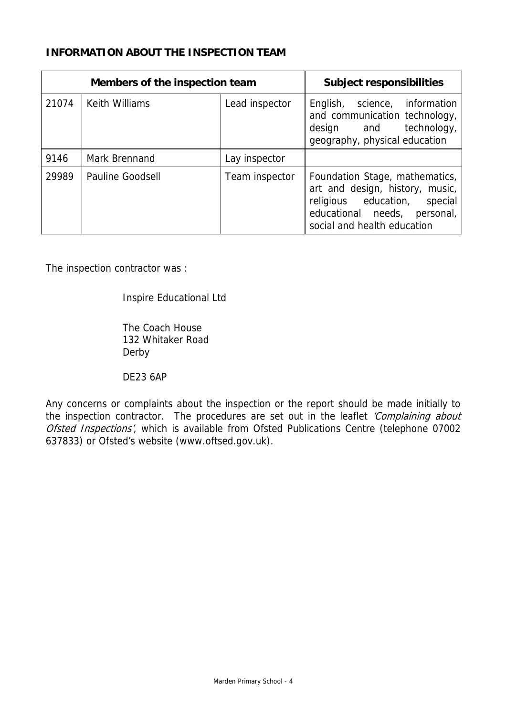# **INFORMATION ABOUT THE INSPECTION TEAM**

|       | Members of the inspection team | <b>Subject responsibilities</b> |                                                                                                                                                                  |
|-------|--------------------------------|---------------------------------|------------------------------------------------------------------------------------------------------------------------------------------------------------------|
| 21074 | <b>Keith Williams</b>          | Lead inspector                  | science, information<br>English,<br>and communication technology,<br>design and technology,<br>geography, physical education                                     |
| 9146  | Mark Brennand                  | Lay inspector                   |                                                                                                                                                                  |
| 29989 | <b>Pauline Goodsell</b>        | Team inspector                  | Foundation Stage, mathematics,<br>art and design, history, music,<br>religious education, special<br>educational needs, personal,<br>social and health education |

The inspection contractor was :

# Inspire Educational Ltd

 The Coach House 132 Whitaker Road Derby

DE23 6AP

Any concerns or complaints about the inspection or the report should be made initially to the inspection contractor. The procedures are set out in the leaflet 'Complaining about Ofsted Inspections', which is available from Ofsted Publications Centre (telephone 07002 637833) or Ofsted's website (www.oftsed.gov.uk).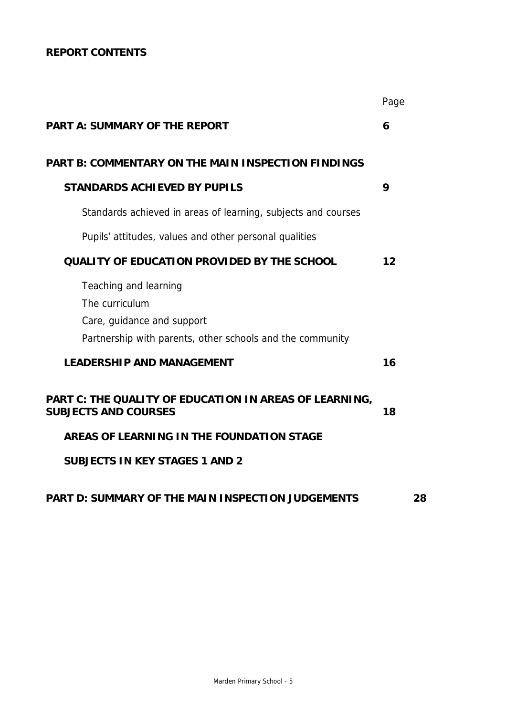# **REPORT CONTENTS**

|                                                                                                                                    | Page |  |
|------------------------------------------------------------------------------------------------------------------------------------|------|--|
| <b>PART A: SUMMARY OF THE REPORT</b>                                                                                               | 6    |  |
| <b>PART B: COMMENTARY ON THE MAIN INSPECTION FINDINGS</b>                                                                          |      |  |
| <b>STANDARDS ACHIEVED BY PUPILS</b>                                                                                                | 9    |  |
| Standards achieved in areas of learning, subjects and courses                                                                      |      |  |
| Pupils' attitudes, values and other personal qualities                                                                             |      |  |
| QUALITY OF EDUCATION PROVIDED BY THE SCHOOL                                                                                        | 12   |  |
| Teaching and learning<br>The curriculum<br>Care, guidance and support<br>Partnership with parents, other schools and the community |      |  |
| <b>LEADERSHIP AND MANAGEMENT</b>                                                                                                   | 16   |  |
| PART C: THE QUALITY OF EDUCATION IN AREAS OF LEARNING,<br><b>SUBJECTS AND COURSES</b>                                              | 18   |  |
| AREAS OF LEARNING IN THE FOUNDATION STAGE                                                                                          |      |  |
| <b>SUBJECTS IN KEY STAGES 1 AND 2</b>                                                                                              |      |  |
| PART D: SUMMARY OF THE MAIN INSPECTION JUDGEMENTS                                                                                  | 28   |  |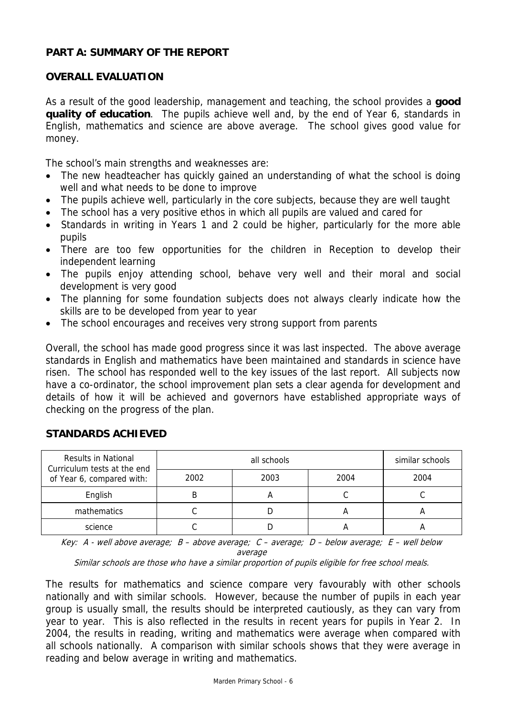## **PART A: SUMMARY OF THE REPORT**

# **OVERALL EVALUATION**

As a result of the good leadership, management and teaching, the school provides a **good quality of education**. The pupils achieve well and, by the end of Year 6, standards in English, mathematics and science are above average. The school gives good value for money.

The school's main strengths and weaknesses are:

- The new headteacher has quickly gained an understanding of what the school is doing well and what needs to be done to improve
- The pupils achieve well, particularly in the core subjects, because they are well taught
- The school has a very positive ethos in which all pupils are valued and cared for
- Standards in writing in Years 1 and 2 could be higher, particularly for the more able pupils
- There are too few opportunities for the children in Reception to develop their independent learning
- The pupils enjoy attending school, behave very well and their moral and social development is very good
- The planning for some foundation subjects does not always clearly indicate how the skills are to be developed from year to year
- The school encourages and receives very strong support from parents

Overall, the school has made good progress since it was last inspected. The above average standards in English and mathematics have been maintained and standards in science have risen. The school has responded well to the key issues of the last report. All subjects now have a co-ordinator, the school improvement plan sets a clear agenda for development and details of how it will be achieved and governors have established appropriate ways of checking on the progress of the plan.

| <b>Results in National</b><br>Curriculum tests at the end |      | similar schools |      |      |
|-----------------------------------------------------------|------|-----------------|------|------|
| of Year 6, compared with:                                 | 2002 | 2003            | 2004 | 2004 |
| English                                                   |      |                 |      |      |
| mathematics                                               |      |                 |      |      |
| science                                                   |      |                 | А    |      |

### **STANDARDS ACHIEVED**

Key: A - well above average;  $B - above$  average;  $C - a$ verage;  $D - below$  average;  $E - well$  below average

Similar schools are those who have a similar proportion of pupils eligible for free school meals.

The results for mathematics and science compare very favourably with other schools nationally and with similar schools. However, because the number of pupils in each year group is usually small, the results should be interpreted cautiously, as they can vary from year to year. This is also reflected in the results in recent years for pupils in Year 2. In 2004, the results in reading, writing and mathematics were average when compared with all schools nationally. A comparison with similar schools shows that they were average in reading and below average in writing and mathematics.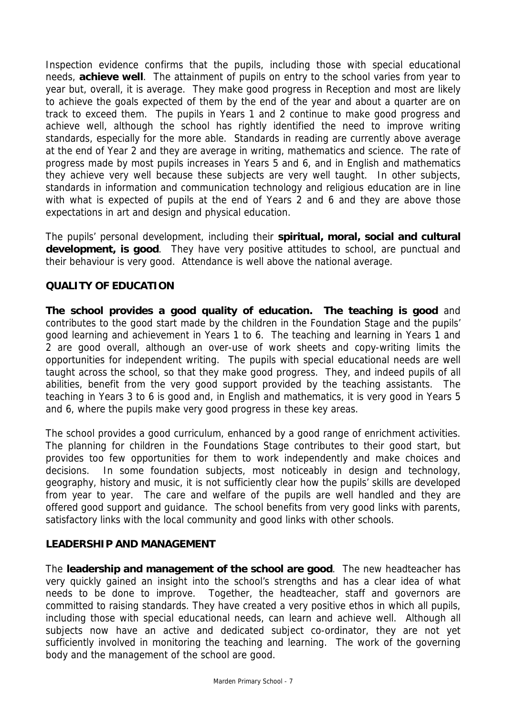Inspection evidence confirms that the pupils, including those with special educational needs, **achieve well**. The attainment of pupils on entry to the school varies from year to year but, overall, it is average. They make good progress in Reception and most are likely to achieve the goals expected of them by the end of the year and about a quarter are on track to exceed them. The pupils in Years 1 and 2 continue to make good progress and achieve well, although the school has rightly identified the need to improve writing standards, especially for the more able. Standards in reading are currently above average at the end of Year 2 and they are average in writing, mathematics and science. The rate of progress made by most pupils increases in Years 5 and 6, and in English and mathematics they achieve very well because these subjects are very well taught. In other subjects, standards in information and communication technology and religious education are in line with what is expected of pupils at the end of Years 2 and 6 and they are above those expectations in art and design and physical education.

The pupils' personal development, including their **spiritual, moral, social and cultural development, is good**. They have very positive attitudes to school, are punctual and their behaviour is very good. Attendance is well above the national average.

# **QUALITY OF EDUCATION**

**The school provides a good quality of education. The teaching is good** and contributes to the good start made by the children in the Foundation Stage and the pupils' good learning and achievement in Years 1 to 6. The teaching and learning in Years 1 and 2 are good overall, although an over-use of work sheets and copy-writing limits the opportunities for independent writing. The pupils with special educational needs are well taught across the school, so that they make good progress. They, and indeed pupils of all abilities, benefit from the very good support provided by the teaching assistants. The teaching in Years 3 to 6 is good and, in English and mathematics, it is very good in Years 5 and 6, where the pupils make very good progress in these key areas.

The school provides a good curriculum, enhanced by a good range of enrichment activities. The planning for children in the Foundations Stage contributes to their good start, but provides too few opportunities for them to work independently and make choices and decisions. In some foundation subjects, most noticeably in design and technology, geography, history and music, it is not sufficiently clear how the pupils' skills are developed from year to year. The care and welfare of the pupils are well handled and they are offered good support and guidance. The school benefits from very good links with parents, satisfactory links with the local community and good links with other schools.

# **LEADERSHIP AND MANAGEMENT**

The **leadership and management of the school are good**. The new headteacher has very quickly gained an insight into the school's strengths and has a clear idea of what needs to be done to improve. Together, the headteacher, staff and governors are committed to raising standards. They have created a very positive ethos in which all pupils, including those with special educational needs, can learn and achieve well. Although all subjects now have an active and dedicated subject co-ordinator, they are not yet sufficiently involved in monitoring the teaching and learning. The work of the governing body and the management of the school are good.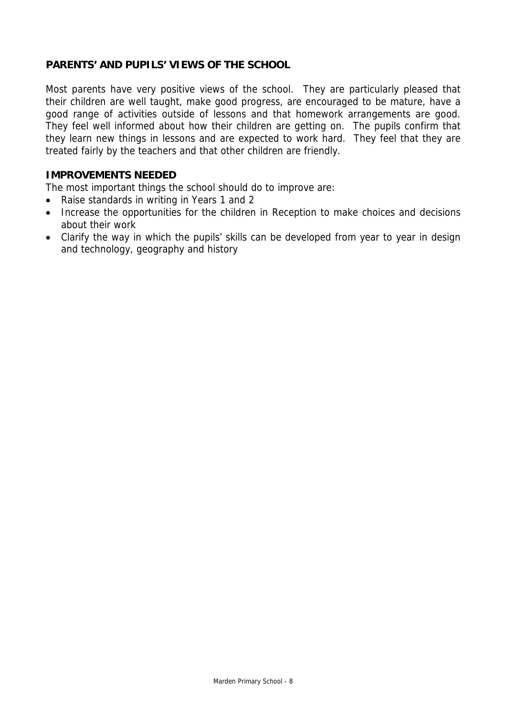# **PARENTS' AND PUPILS' VIEWS OF THE SCHOOL**

Most parents have very positive views of the school. They are particularly pleased that their children are well taught, make good progress, are encouraged to be mature, have a good range of activities outside of lessons and that homework arrangements are good. They feel well informed about how their children are getting on. The pupils confirm that they learn new things in lessons and are expected to work hard. They feel that they are treated fairly by the teachers and that other children are friendly.

## **IMPROVEMENTS NEEDED**

The most important things the school should do to improve are:

- Raise standards in writing in Years 1 and 2
- Increase the opportunities for the children in Reception to make choices and decisions about their work
- Clarify the way in which the pupils' skills can be developed from year to year in design and technology, geography and history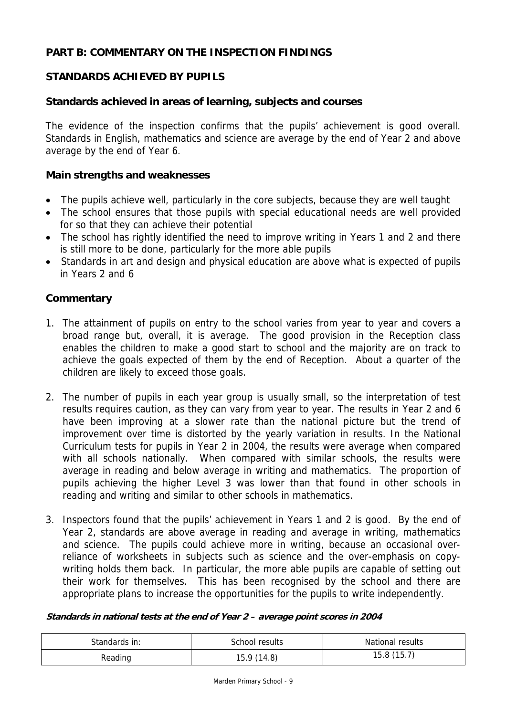# **PART B: COMMENTARY ON THE INSPECTION FINDINGS**

# **STANDARDS ACHIEVED BY PUPILS**

### **Standards achieved in areas of learning, subjects and courses**

The evidence of the inspection confirms that the pupils' achievement is good overall. Standards in English, mathematics and science are average by the end of Year 2 and above average by the end of Year 6.

#### **Main strengths and weaknesses**

- The pupils achieve well, particularly in the core subjects, because they are well taught
- The school ensures that those pupils with special educational needs are well provided for so that they can achieve their potential
- The school has rightly identified the need to improve writing in Years 1 and 2 and there is still more to be done, particularly for the more able pupils
- Standards in art and design and physical education are above what is expected of pupils in Years 2 and 6

### **Commentary**

- 1. The attainment of pupils on entry to the school varies from year to year and covers a broad range but, overall, it is average. The good provision in the Reception class enables the children to make a good start to school and the majority are on track to achieve the goals expected of them by the end of Reception. About a quarter of the children are likely to exceed those goals.
- 2. The number of pupils in each year group is usually small, so the interpretation of test results requires caution, as they can vary from year to year. The results in Year 2 and 6 have been improving at a slower rate than the national picture but the trend of improvement over time is distorted by the yearly variation in results. In the National Curriculum tests for pupils in Year 2 in 2004, the results were average when compared with all schools nationally. When compared with similar schools, the results were average in reading and below average in writing and mathematics. The proportion of pupils achieving the higher Level 3 was lower than that found in other schools in reading and writing and similar to other schools in mathematics.
- 3. Inspectors found that the pupils' achievement in Years 1 and 2 is good. By the end of Year 2, standards are above average in reading and average in writing, mathematics and science. The pupils could achieve more in writing, because an occasional overreliance of worksheets in subjects such as science and the over-emphasis on copywriting holds them back. In particular, the more able pupils are capable of setting out their work for themselves. This has been recognised by the school and there are appropriate plans to increase the opportunities for the pupils to write independently.

#### **Standards in national tests at the end of Year 2 – average point scores in 2004**

| Standards in: | School results | <b>National results</b> |  |
|---------------|----------------|-------------------------|--|
| Reading       | 15.9(14.8)     | 15.8(15.7)              |  |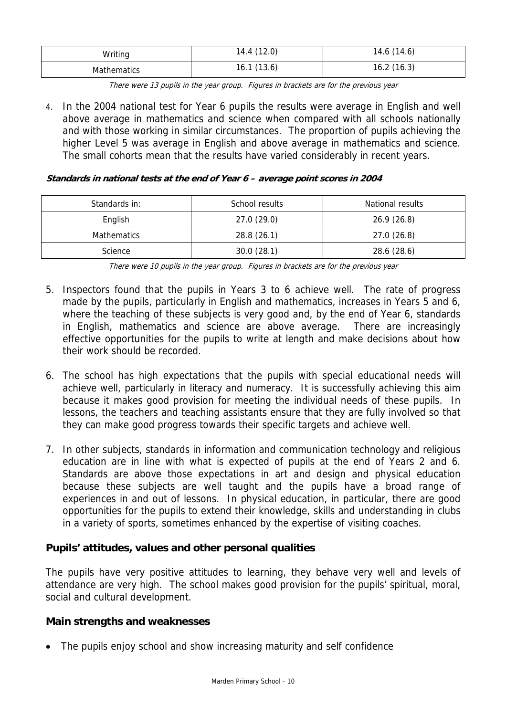| Writing            | 14.4(12.0) | 14.6 (14.6) |
|--------------------|------------|-------------|
| <b>Mathematics</b> | 16.1(13.6) | 16.2(16.3)  |

There were 13 pupils in the year group. Figures in brackets are for the previous year

4. In the 2004 national test for Year 6 pupils the results were average in English and well above average in mathematics and science when compared with all schools nationally and with those working in similar circumstances. The proportion of pupils achieving the higher Level 5 was average in English and above average in mathematics and science. The small cohorts mean that the results have varied considerably in recent years.

# **Standards in national tests at the end of Year 6 – average point scores in 2004**

| Standards in:      | School results | National results |  |
|--------------------|----------------|------------------|--|
| English            | 27.0(29.0)     | 26.9(26.8)       |  |
| <b>Mathematics</b> | 28.8(26.1)     | 27.0(26.8)       |  |
| Science            | 30.0(28.1)     | 28.6 (28.6)      |  |

There were 10 pupils in the year group. Figures in brackets are for the previous year

- 5. Inspectors found that the pupils in Years 3 to 6 achieve well. The rate of progress made by the pupils, particularly in English and mathematics, increases in Years 5 and 6, where the teaching of these subjects is very good and, by the end of Year 6, standards in English, mathematics and science are above average. There are increasingly effective opportunities for the pupils to write at length and make decisions about how their work should be recorded.
- 6. The school has high expectations that the pupils with special educational needs will achieve well, particularly in literacy and numeracy. It is successfully achieving this aim because it makes good provision for meeting the individual needs of these pupils. In lessons, the teachers and teaching assistants ensure that they are fully involved so that they can make good progress towards their specific targets and achieve well.
- 7. In other subjects, standards in information and communication technology and religious education are in line with what is expected of pupils at the end of Years 2 and 6. Standards are above those expectations in art and design and physical education because these subjects are well taught and the pupils have a broad range of experiences in and out of lessons. In physical education, in particular, there are good opportunities for the pupils to extend their knowledge, skills and understanding in clubs in a variety of sports, sometimes enhanced by the expertise of visiting coaches.

# **Pupils' attitudes, values and other personal qualities**

The pupils have very positive attitudes to learning, they behave very well and levels of attendance are very high. The school makes good provision for the pupils' spiritual, moral, social and cultural development.

# **Main strengths and weaknesses**

• The pupils enjoy school and show increasing maturity and self confidence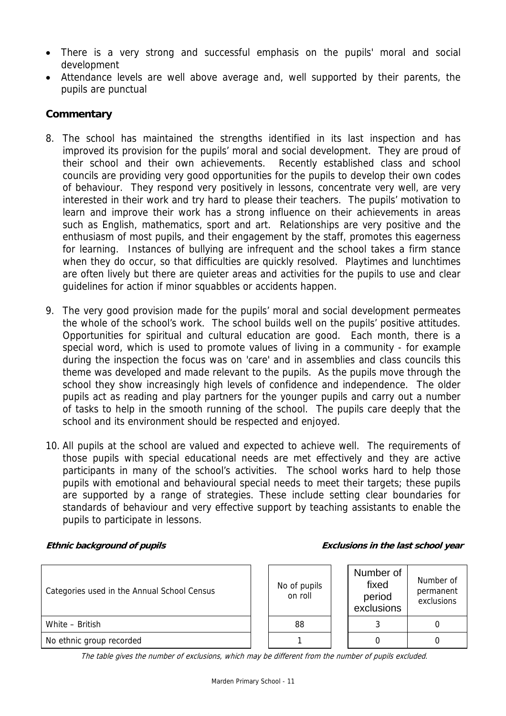- There is a very strong and successful emphasis on the pupils' moral and social development
- Attendance levels are well above average and, well supported by their parents, the pupils are punctual

# **Commentary**

- 8. The school has maintained the strengths identified in its last inspection and has improved its provision for the pupils' moral and social development. They are proud of their school and their own achievements. Recently established class and school councils are providing very good opportunities for the pupils to develop their own codes of behaviour. They respond very positively in lessons, concentrate very well, are very interested in their work and try hard to please their teachers. The pupils' motivation to learn and improve their work has a strong influence on their achievements in areas such as English, mathematics, sport and art. Relationships are very positive and the enthusiasm of most pupils, and their engagement by the staff, promotes this eagerness for learning. Instances of bullying are infrequent and the school takes a firm stance when they do occur, so that difficulties are quickly resolved. Playtimes and lunchtimes are often lively but there are quieter areas and activities for the pupils to use and clear guidelines for action if minor squabbles or accidents happen.
- 9. The very good provision made for the pupils' moral and social development permeates the whole of the school's work. The school builds well on the pupils' positive attitudes. Opportunities for spiritual and cultural education are good. Each month, there is a special word, which is used to promote values of living in a community - for example during the inspection the focus was on 'care' and in assemblies and class councils this theme was developed and made relevant to the pupils. As the pupils move through the school they show increasingly high levels of confidence and independence. The older pupils act as reading and play partners for the younger pupils and carry out a number of tasks to help in the smooth running of the school. The pupils care deeply that the school and its environment should be respected and enjoyed.
- 10. All pupils at the school are valued and expected to achieve well. The requirements of those pupils with special educational needs are met effectively and they are active participants in many of the school's activities. The school works hard to help those pupils with emotional and behavioural special needs to meet their targets; these pupils are supported by a range of strategies. These include setting clear boundaries for standards of behaviour and very effective support by teaching assistants to enable the pupils to participate in lessons.

#### **Ethnic background of pupils Exclusions in the last school year**

| Categories used in the Annual School Census | No of pupils<br>on roll | Number of<br>fixed<br>period<br>exclusions | Number of<br>permanent<br>exclusions |
|---------------------------------------------|-------------------------|--------------------------------------------|--------------------------------------|
| White - British                             | 88                      |                                            |                                      |
| No ethnic group recorded                    |                         |                                            |                                      |

The table gives the number of exclusions, which may be different from the number of pupils excluded.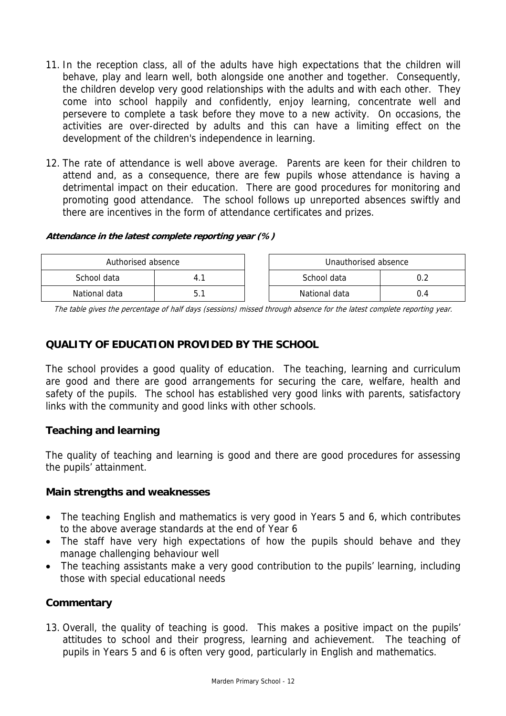- 11. In the reception class, all of the adults have high expectations that the children will behave, play and learn well, both alongside one another and together. Consequently, the children develop very good relationships with the adults and with each other. They come into school happily and confidently, enjoy learning, concentrate well and persevere to complete a task before they move to a new activity. On occasions, the activities are over-directed by adults and this can have a limiting effect on the development of the children's independence in learning.
- 12. The rate of attendance is well above average. Parents are keen for their children to attend and, as a consequence, there are few pupils whose attendance is having a detrimental impact on their education. There are good procedures for monitoring and promoting good attendance. The school follows up unreported absences swiftly and there are incentives in the form of attendance certificates and prizes.

### **Attendance in the latest complete reporting year (%)**

| Authorised absence |  |  | Unauthorised absence |     |
|--------------------|--|--|----------------------|-----|
| School data        |  |  | School data          |     |
| National data      |  |  | National data        | U.4 |

The table gives the percentage of half days (sessions) missed through absence for the latest complete reporting year.

# **QUALITY OF EDUCATION PROVIDED BY THE SCHOOL**

The school provides a good quality of education. The teaching, learning and curriculum are good and there are good arrangements for securing the care, welfare, health and safety of the pupils. The school has established very good links with parents, satisfactory links with the community and good links with other schools.

# **Teaching and learning**

The quality of teaching and learning is good and there are good procedures for assessing the pupils' attainment.

### **Main strengths and weaknesses**

- The teaching English and mathematics is very good in Years 5 and 6, which contributes to the above average standards at the end of Year 6
- The staff have very high expectations of how the pupils should behave and they manage challenging behaviour well
- The teaching assistants make a very good contribution to the pupils' learning, including those with special educational needs

# **Commentary**

13. Overall, the quality of teaching is good. This makes a positive impact on the pupils' attitudes to school and their progress, learning and achievement. The teaching of pupils in Years 5 and 6 is often very good, particularly in English and mathematics.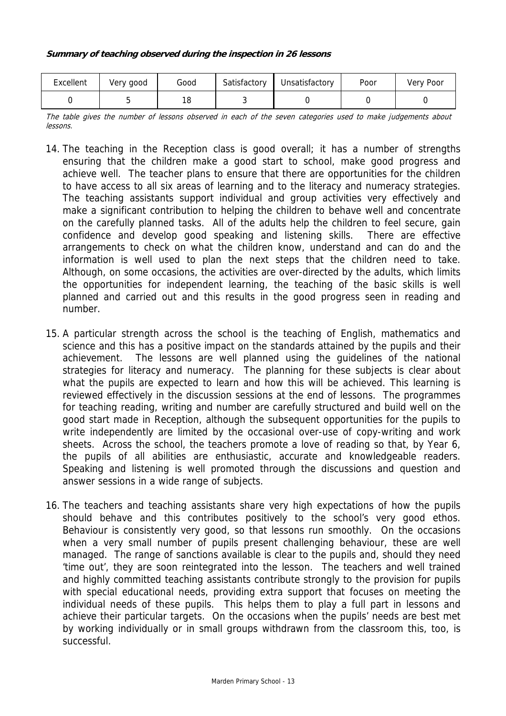| Excellent | Very good | Good | Satisfactory | Unsatisfactory | Poor | Very Poor |
|-----------|-----------|------|--------------|----------------|------|-----------|
|           |           | ı o  |              |                |      |           |

The table gives the number of lessons observed in each of the seven categories used to make judgements about lessons.

- 14. The teaching in the Reception class is good overall; it has a number of strengths ensuring that the children make a good start to school, make good progress and achieve well. The teacher plans to ensure that there are opportunities for the children to have access to all six areas of learning and to the literacy and numeracy strategies. The teaching assistants support individual and group activities very effectively and make a significant contribution to helping the children to behave well and concentrate on the carefully planned tasks. All of the adults help the children to feel secure, gain confidence and develop good speaking and listening skills. There are effective arrangements to check on what the children know, understand and can do and the information is well used to plan the next steps that the children need to take. Although, on some occasions, the activities are over-directed by the adults, which limits the opportunities for independent learning, the teaching of the basic skills is well planned and carried out and this results in the good progress seen in reading and number.
- 15. A particular strength across the school is the teaching of English, mathematics and science and this has a positive impact on the standards attained by the pupils and their achievement. The lessons are well planned using the guidelines of the national strategies for literacy and numeracy. The planning for these subjects is clear about what the pupils are expected to learn and how this will be achieved. This learning is reviewed effectively in the discussion sessions at the end of lessons. The programmes for teaching reading, writing and number are carefully structured and build well on the good start made in Reception, although the subsequent opportunities for the pupils to write independently are limited by the occasional over-use of copy-writing and work sheets. Across the school, the teachers promote a love of reading so that, by Year 6, the pupils of all abilities are enthusiastic, accurate and knowledgeable readers. Speaking and listening is well promoted through the discussions and question and answer sessions in a wide range of subjects.
- 16. The teachers and teaching assistants share very high expectations of how the pupils should behave and this contributes positively to the school's very good ethos. Behaviour is consistently very good, so that lessons run smoothly. On the occasions when a very small number of pupils present challenging behaviour, these are well managed. The range of sanctions available is clear to the pupils and, should they need 'time out', they are soon reintegrated into the lesson. The teachers and well trained and highly committed teaching assistants contribute strongly to the provision for pupils with special educational needs, providing extra support that focuses on meeting the individual needs of these pupils. This helps them to play a full part in lessons and achieve their particular targets. On the occasions when the pupils' needs are best met by working individually or in small groups withdrawn from the classroom this, too, is successful.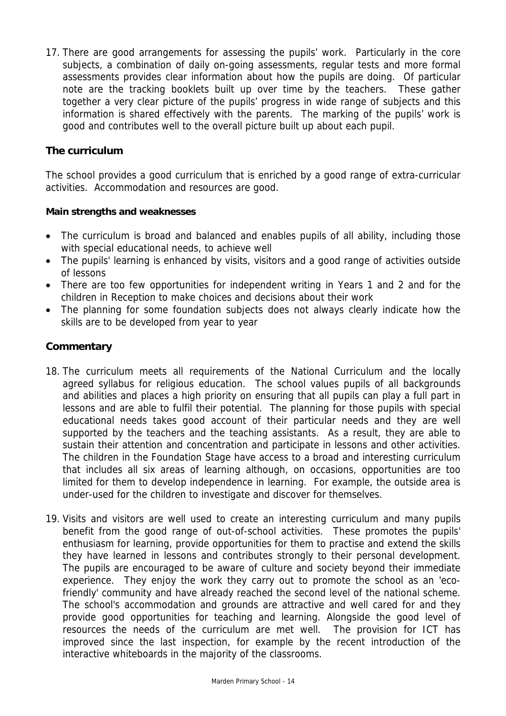17. There are good arrangements for assessing the pupils' work. Particularly in the core subjects, a combination of daily on-going assessments, regular tests and more formal assessments provides clear information about how the pupils are doing. Of particular note are the tracking booklets built up over time by the teachers. These gather together a very clear picture of the pupils' progress in wide range of subjects and this information is shared effectively with the parents. The marking of the pupils' work is good and contributes well to the overall picture built up about each pupil.

# **The curriculum**

The school provides a good curriculum that is enriched by a good range of extra-curricular activities. Accommodation and resources are good.

### **Main strengths and weaknesses**

- The curriculum is broad and balanced and enables pupils of all ability, including those with special educational needs, to achieve well
- The pupils' learning is enhanced by visits, visitors and a good range of activities outside of lessons
- There are too few opportunities for independent writing in Years 1 and 2 and for the children in Reception to make choices and decisions about their work
- The planning for some foundation subjects does not always clearly indicate how the skills are to be developed from year to year

- 18. The curriculum meets all requirements of the National Curriculum and the locally agreed syllabus for religious education. The school values pupils of all backgrounds and abilities and places a high priority on ensuring that all pupils can play a full part in lessons and are able to fulfil their potential. The planning for those pupils with special educational needs takes good account of their particular needs and they are well supported by the teachers and the teaching assistants. As a result, they are able to sustain their attention and concentration and participate in lessons and other activities. The children in the Foundation Stage have access to a broad and interesting curriculum that includes all six areas of learning although, on occasions, opportunities are too limited for them to develop independence in learning. For example, the outside area is under-used for the children to investigate and discover for themselves.
- 19. Visits and visitors are well used to create an interesting curriculum and many pupils benefit from the good range of out-of-school activities. These promotes the pupils' enthusiasm for learning, provide opportunities for them to practise and extend the skills they have learned in lessons and contributes strongly to their personal development. The pupils are encouraged to be aware of culture and society beyond their immediate experience. They enjoy the work they carry out to promote the school as an 'ecofriendly' community and have already reached the second level of the national scheme. The school's accommodation and grounds are attractive and well cared for and they provide good opportunities for teaching and learning. Alongside the good level of resources the needs of the curriculum are met well. The provision for ICT has improved since the last inspection, for example by the recent introduction of the interactive whiteboards in the majority of the classrooms.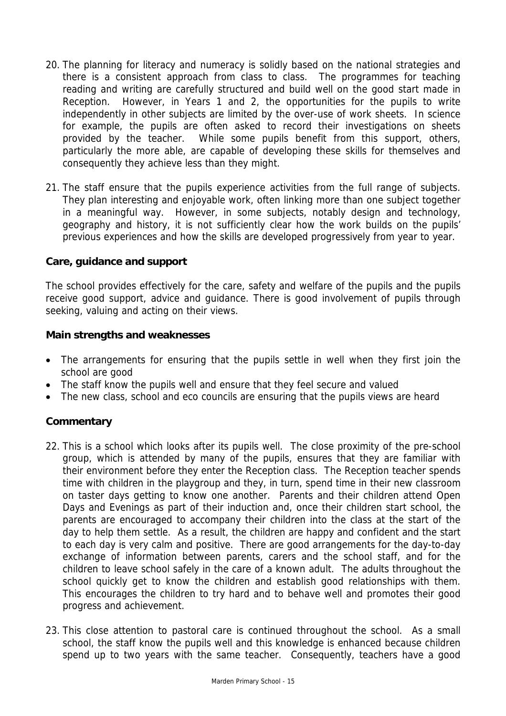- 20. The planning for literacy and numeracy is solidly based on the national strategies and there is a consistent approach from class to class. The programmes for teaching reading and writing are carefully structured and build well on the good start made in Reception. However, in Years 1 and 2, the opportunities for the pupils to write independently in other subjects are limited by the over-use of work sheets. In science for example, the pupils are often asked to record their investigations on sheets provided by the teacher. While some pupils benefit from this support, others, particularly the more able, are capable of developing these skills for themselves and consequently they achieve less than they might.
- 21. The staff ensure that the pupils experience activities from the full range of subjects. They plan interesting and enjoyable work, often linking more than one subject together in a meaningful way. However, in some subjects, notably design and technology, geography and history, it is not sufficiently clear how the work builds on the pupils' previous experiences and how the skills are developed progressively from year to year.

## **Care, guidance and support**

The school provides effectively for the care, safety and welfare of the pupils and the pupils receive good support, advice and guidance. There is good involvement of pupils through seeking, valuing and acting on their views.

### **Main strengths and weaknesses**

- The arrangements for ensuring that the pupils settle in well when they first join the school are good
- The staff know the pupils well and ensure that they feel secure and valued
- The new class, school and eco councils are ensuring that the pupils views are heard

- 22. This is a school which looks after its pupils well. The close proximity of the pre-school group, which is attended by many of the pupils, ensures that they are familiar with their environment before they enter the Reception class. The Reception teacher spends time with children in the playgroup and they, in turn, spend time in their new classroom on taster days getting to know one another. Parents and their children attend Open Days and Evenings as part of their induction and, once their children start school, the parents are encouraged to accompany their children into the class at the start of the day to help them settle. As a result, the children are happy and confident and the start to each day is very calm and positive. There are good arrangements for the day-to-day exchange of information between parents, carers and the school staff, and for the children to leave school safely in the care of a known adult. The adults throughout the school quickly get to know the children and establish good relationships with them. This encourages the children to try hard and to behave well and promotes their good progress and achievement.
- 23. This close attention to pastoral care is continued throughout the school. As a small school, the staff know the pupils well and this knowledge is enhanced because children spend up to two years with the same teacher. Consequently, teachers have a good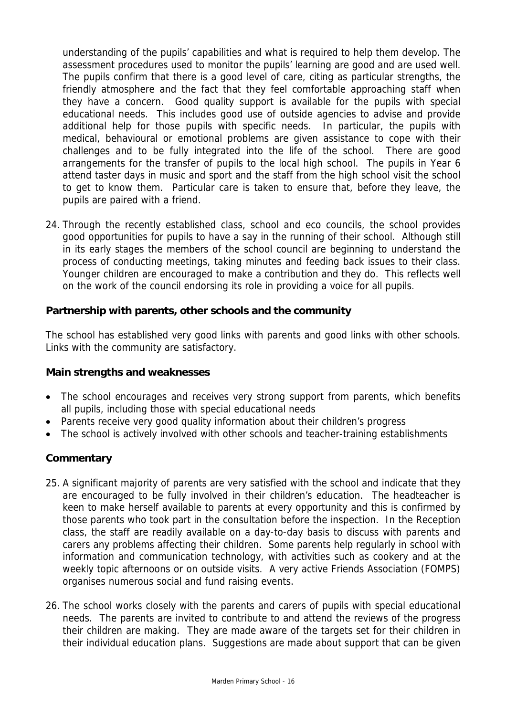understanding of the pupils' capabilities and what is required to help them develop. The assessment procedures used to monitor the pupils' learning are good and are used well. The pupils confirm that there is a good level of care, citing as particular strengths, the friendly atmosphere and the fact that they feel comfortable approaching staff when they have a concern. Good quality support is available for the pupils with special educational needs. This includes good use of outside agencies to advise and provide additional help for those pupils with specific needs. In particular, the pupils with medical, behavioural or emotional problems are given assistance to cope with their challenges and to be fully integrated into the life of the school. There are good arrangements for the transfer of pupils to the local high school. The pupils in Year 6 attend taster days in music and sport and the staff from the high school visit the school to get to know them. Particular care is taken to ensure that, before they leave, the pupils are paired with a friend.

24. Through the recently established class, school and eco councils, the school provides good opportunities for pupils to have a say in the running of their school. Although still in its early stages the members of the school council are beginning to understand the process of conducting meetings, taking minutes and feeding back issues to their class. Younger children are encouraged to make a contribution and they do. This reflects well on the work of the council endorsing its role in providing a voice for all pupils.

# **Partnership with parents, other schools and the community**

The school has established very good links with parents and good links with other schools. Links with the community are satisfactory.

### **Main strengths and weaknesses**

- The school encourages and receives very strong support from parents, which benefits all pupils, including those with special educational needs
- Parents receive very good quality information about their children's progress
- The school is actively involved with other schools and teacher-training establishments

- 25. A significant majority of parents are very satisfied with the school and indicate that they are encouraged to be fully involved in their children's education. The headteacher is keen to make herself available to parents at every opportunity and this is confirmed by those parents who took part in the consultation before the inspection. In the Reception class, the staff are readily available on a day-to-day basis to discuss with parents and carers any problems affecting their children. Some parents help regularly in school with information and communication technology, with activities such as cookery and at the weekly topic afternoons or on outside visits. A very active Friends Association (FOMPS) organises numerous social and fund raising events.
- 26. The school works closely with the parents and carers of pupils with special educational needs. The parents are invited to contribute to and attend the reviews of the progress their children are making. They are made aware of the targets set for their children in their individual education plans. Suggestions are made about support that can be given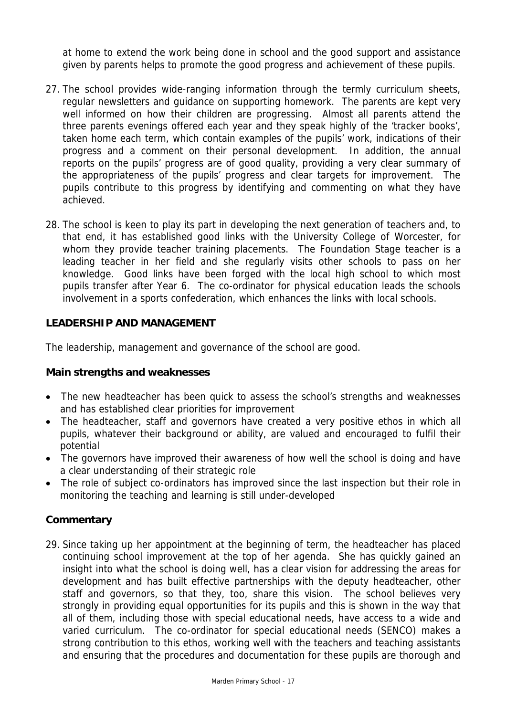at home to extend the work being done in school and the good support and assistance given by parents helps to promote the good progress and achievement of these pupils.

- 27. The school provides wide-ranging information through the termly curriculum sheets, regular newsletters and guidance on supporting homework. The parents are kept very well informed on how their children are progressing. Almost all parents attend the three parents evenings offered each year and they speak highly of the 'tracker books', taken home each term, which contain examples of the pupils' work, indications of their progress and a comment on their personal development. In addition, the annual reports on the pupils' progress are of good quality, providing a very clear summary of the appropriateness of the pupils' progress and clear targets for improvement. The pupils contribute to this progress by identifying and commenting on what they have achieved.
- 28. The school is keen to play its part in developing the next generation of teachers and, to that end, it has established good links with the University College of Worcester, for whom they provide teacher training placements. The Foundation Stage teacher is a leading teacher in her field and she regularly visits other schools to pass on her knowledge. Good links have been forged with the local high school to which most pupils transfer after Year 6. The co-ordinator for physical education leads the schools involvement in a sports confederation, which enhances the links with local schools.

# **LEADERSHIP AND MANAGEMENT**

The leadership, management and governance of the school are good.

### **Main strengths and weaknesses**

- The new headteacher has been quick to assess the school's strengths and weaknesses and has established clear priorities for improvement
- The headteacher, staff and governors have created a very positive ethos in which all pupils, whatever their background or ability, are valued and encouraged to fulfil their potential
- The governors have improved their awareness of how well the school is doing and have a clear understanding of their strategic role
- The role of subject co-ordinators has improved since the last inspection but their role in monitoring the teaching and learning is still under-developed

# **Commentary**

29. Since taking up her appointment at the beginning of term, the headteacher has placed continuing school improvement at the top of her agenda. She has quickly gained an insight into what the school is doing well, has a clear vision for addressing the areas for development and has built effective partnerships with the deputy headteacher, other staff and governors, so that they, too, share this vision. The school believes very strongly in providing equal opportunities for its pupils and this is shown in the way that all of them, including those with special educational needs, have access to a wide and varied curriculum. The co-ordinator for special educational needs (SENCO) makes a strong contribution to this ethos, working well with the teachers and teaching assistants and ensuring that the procedures and documentation for these pupils are thorough and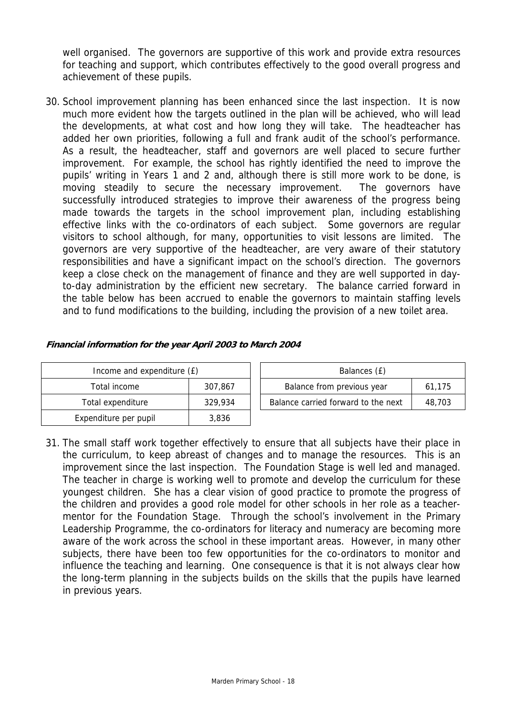well organised. The governors are supportive of this work and provide extra resources for teaching and support, which contributes effectively to the good overall progress and achievement of these pupils.

30. School improvement planning has been enhanced since the last inspection. It is now much more evident how the targets outlined in the plan will be achieved, who will lead the developments, at what cost and how long they will take. The headteacher has added her own priorities, following a full and frank audit of the school's performance. As a result, the headteacher, staff and governors are well placed to secure further improvement. For example, the school has rightly identified the need to improve the pupils' writing in Years 1 and 2 and, although there is still more work to be done, is moving steadily to secure the necessary improvement. The governors have successfully introduced strategies to improve their awareness of the progress being made towards the targets in the school improvement plan, including establishing effective links with the co-ordinators of each subject. Some governors are regular visitors to school although, for many, opportunities to visit lessons are limited. The governors are very supportive of the headteacher, are very aware of their statutory responsibilities and have a significant impact on the school's direction. The governors keep a close check on the management of finance and they are well supported in dayto-day administration by the efficient new secretary. The balance carried forward in the table below has been accrued to enable the governors to maintain staffing levels and to fund modifications to the building, including the provision of a new toilet area.

| Income and expenditure (£)     |         |  | Balances (£)                        |        |
|--------------------------------|---------|--|-------------------------------------|--------|
| Total income                   | 307.867 |  | Balance from previous year          | 61,175 |
| Total expenditure<br>329.934   |         |  | Balance carried forward to the next | 48.703 |
| Expenditure per pupil<br>3,836 |         |  |                                     |        |

#### **Financial information for the year April 2003 to March 2004**

31. The small staff work together effectively to ensure that all subjects have their place in the curriculum, to keep abreast of changes and to manage the resources. This is an improvement since the last inspection. The Foundation Stage is well led and managed. The teacher in charge is working well to promote and develop the curriculum for these youngest children. She has a clear vision of good practice to promote the progress of the children and provides a good role model for other schools in her role as a teachermentor for the Foundation Stage. Through the school's involvement in the Primary Leadership Programme, the co-ordinators for literacy and numeracy are becoming more aware of the work across the school in these important areas. However, in many other subjects, there have been too few opportunities for the co-ordinators to monitor and influence the teaching and learning. One consequence is that it is not always clear how the long-term planning in the subjects builds on the skills that the pupils have learned in previous years.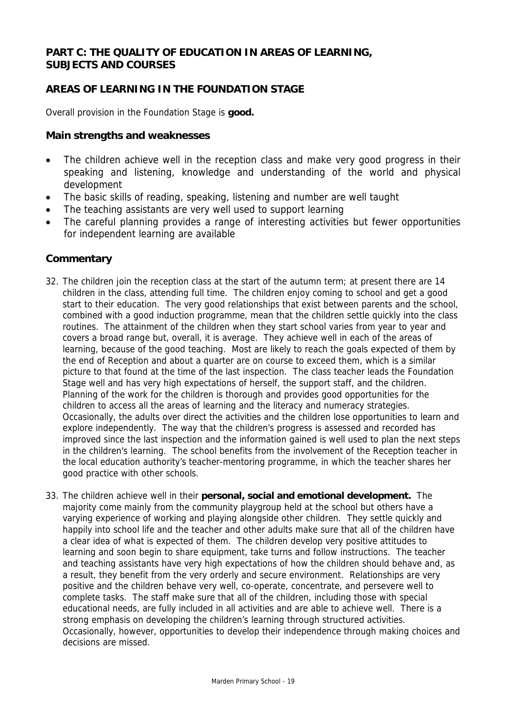## **PART C: THE QUALITY OF EDUCATION IN AREAS OF LEARNING, SUBJECTS AND COURSES**

# **AREAS OF LEARNING IN THE FOUNDATION STAGE**

Overall provision in the Foundation Stage is **good.**

#### **Main strengths and weaknesses**

- The children achieve well in the reception class and make very good progress in their speaking and listening, knowledge and understanding of the world and physical development
- The basic skills of reading, speaking, listening and number are well taught
- The teaching assistants are very well used to support learning
- The careful planning provides a range of interesting activities but fewer opportunities for independent learning are available

- 32. The children join the reception class at the start of the autumn term; at present there are 14 children in the class, attending full time. The children enjoy coming to school and get a good start to their education. The very good relationships that exist between parents and the school, combined with a good induction programme, mean that the children settle quickly into the class routines. The attainment of the children when they start school varies from year to year and covers a broad range but, overall, it is average. They achieve well in each of the areas of learning, because of the good teaching. Most are likely to reach the goals expected of them by the end of Reception and about a quarter are on course to exceed them, which is a similar picture to that found at the time of the last inspection. The class teacher leads the Foundation Stage well and has very high expectations of herself, the support staff, and the children. Planning of the work for the children is thorough and provides good opportunities for the children to access all the areas of learning and the literacy and numeracy strategies. Occasionally, the adults over direct the activities and the children lose opportunities to learn and explore independently. The way that the children's progress is assessed and recorded has improved since the last inspection and the information gained is well used to plan the next steps in the children's learning. The school benefits from the involvement of the Reception teacher in the local education authority's teacher-mentoring programme, in which the teacher shares her good practice with other schools.
- 33. The children achieve well in their **personal, social and emotional development.** The majority come mainly from the community playgroup held at the school but others have a varying experience of working and playing alongside other children. They settle quickly and happily into school life and the teacher and other adults make sure that all of the children have a clear idea of what is expected of them. The children develop very positive attitudes to learning and soon begin to share equipment, take turns and follow instructions. The teacher and teaching assistants have very high expectations of how the children should behave and, as a result, they benefit from the very orderly and secure environment. Relationships are very positive and the children behave very well, co-operate, concentrate, and persevere well to complete tasks. The staff make sure that all of the children, including those with special educational needs, are fully included in all activities and are able to achieve well. There is a strong emphasis on developing the children's learning through structured activities. Occasionally, however, opportunities to develop their independence through making choices and decisions are missed.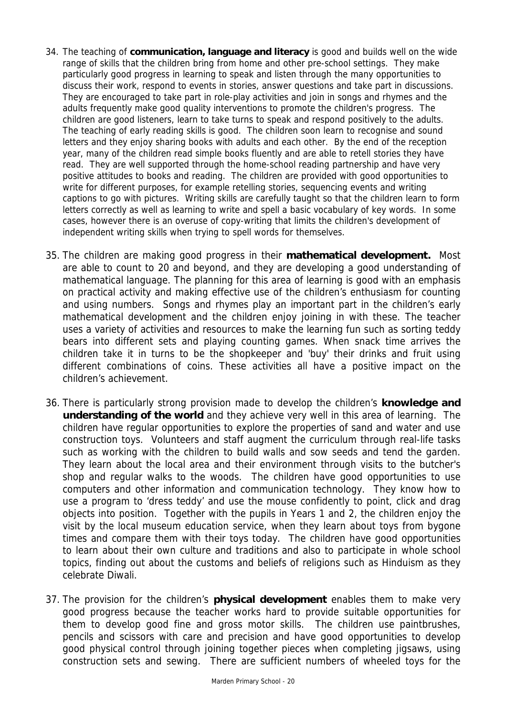- 34. The teaching of **communication, language and literacy** is good and builds well on the wide range of skills that the children bring from home and other pre-school settings. They make particularly good progress in learning to speak and listen through the many opportunities to discuss their work, respond to events in stories, answer questions and take part in discussions. They are encouraged to take part in role-play activities and join in songs and rhymes and the adults frequently make good quality interventions to promote the children's progress. The children are good listeners, learn to take turns to speak and respond positively to the adults. The teaching of early reading skills is good. The children soon learn to recognise and sound letters and they enjoy sharing books with adults and each other. By the end of the reception year, many of the children read simple books fluently and are able to retell stories they have read. They are well supported through the home-school reading partnership and have very positive attitudes to books and reading. The children are provided with good opportunities to write for different purposes, for example retelling stories, sequencing events and writing captions to go with pictures. Writing skills are carefully taught so that the children learn to form letters correctly as well as learning to write and spell a basic vocabulary of key words. In some cases, however there is an overuse of copy-writing that limits the children's development of independent writing skills when trying to spell words for themselves.
- 35. The children are making good progress in their **mathematical development.** Most are able to count to 20 and beyond, and they are developing a good understanding of mathematical language. The planning for this area of learning is good with an emphasis on practical activity and making effective use of the children's enthusiasm for counting and using numbers. Songs and rhymes play an important part in the children's early mathematical development and the children enjoy joining in with these. The teacher uses a variety of activities and resources to make the learning fun such as sorting teddy bears into different sets and playing counting games. When snack time arrives the children take it in turns to be the shopkeeper and 'buy' their drinks and fruit using different combinations of coins. These activities all have a positive impact on the children's achievement.
- 36. There is particularly strong provision made to develop the children's **knowledge and understanding of the world** and they achieve very well in this area of learning. The children have regular opportunities to explore the properties of sand and water and use construction toys. Volunteers and staff augment the curriculum through real-life tasks such as working with the children to build walls and sow seeds and tend the garden. They learn about the local area and their environment through visits to the butcher's shop and regular walks to the woods. The children have good opportunities to use computers and other information and communication technology. They know how to use a program to 'dress teddy' and use the mouse confidently to point, click and drag objects into position. Together with the pupils in Years 1 and 2, the children enjoy the visit by the local museum education service, when they learn about toys from bygone times and compare them with their toys today. The children have good opportunities to learn about their own culture and traditions and also to participate in whole school topics, finding out about the customs and beliefs of religions such as Hinduism as they celebrate Diwali.
- 37. The provision for the children's **physical development** enables them to make very good progress because the teacher works hard to provide suitable opportunities for them to develop good fine and gross motor skills. The children use paintbrushes, pencils and scissors with care and precision and have good opportunities to develop good physical control through joining together pieces when completing jigsaws, using construction sets and sewing. There are sufficient numbers of wheeled toys for the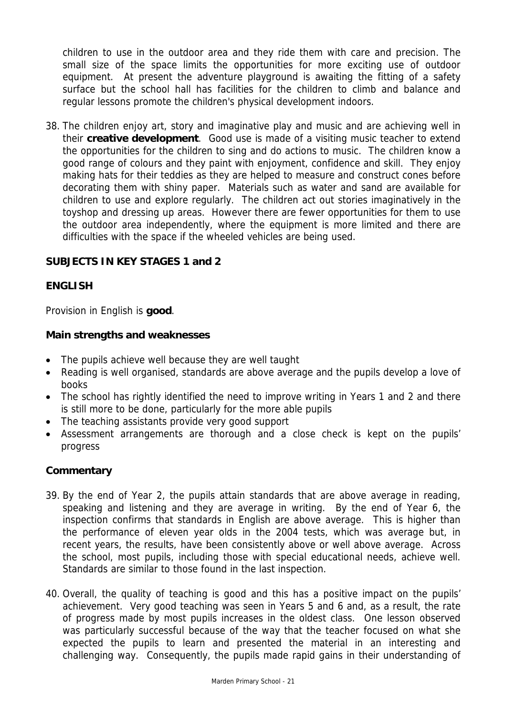children to use in the outdoor area and they ride them with care and precision. The small size of the space limits the opportunities for more exciting use of outdoor equipment. At present the adventure playground is awaiting the fitting of a safety surface but the school hall has facilities for the children to climb and balance and regular lessons promote the children's physical development indoors.

38. The children enjoy art, story and imaginative play and music and are achieving well in their **creative development**. Good use is made of a visiting music teacher to extend the opportunities for the children to sing and do actions to music. The children know a good range of colours and they paint with enjoyment, confidence and skill. They enjoy making hats for their teddies as they are helped to measure and construct cones before decorating them with shiny paper. Materials such as water and sand are available for children to use and explore regularly. The children act out stories imaginatively in the toyshop and dressing up areas. However there are fewer opportunities for them to use the outdoor area independently, where the equipment is more limited and there are difficulties with the space if the wheeled vehicles are being used.

# **SUBJECTS IN KEY STAGES 1 and 2**

### **ENGLISH**

Provision in English is **good**.

#### **Main strengths and weaknesses**

- The pupils achieve well because they are well taught
- Reading is well organised, standards are above average and the pupils develop a love of books
- The school has rightly identified the need to improve writing in Years 1 and 2 and there is still more to be done, particularly for the more able pupils
- The teaching assistants provide very good support
- Assessment arrangements are thorough and a close check is kept on the pupils' progress

- 39. By the end of Year 2, the pupils attain standards that are above average in reading, speaking and listening and they are average in writing. By the end of Year 6, the inspection confirms that standards in English are above average. This is higher than the performance of eleven year olds in the 2004 tests, which was average but, in recent years, the results, have been consistently above or well above average. Across the school, most pupils, including those with special educational needs, achieve well. Standards are similar to those found in the last inspection.
- 40. Overall, the quality of teaching is good and this has a positive impact on the pupils' achievement. Very good teaching was seen in Years 5 and 6 and, as a result, the rate of progress made by most pupils increases in the oldest class. One lesson observed was particularly successful because of the way that the teacher focused on what she expected the pupils to learn and presented the material in an interesting and challenging way. Consequently, the pupils made rapid gains in their understanding of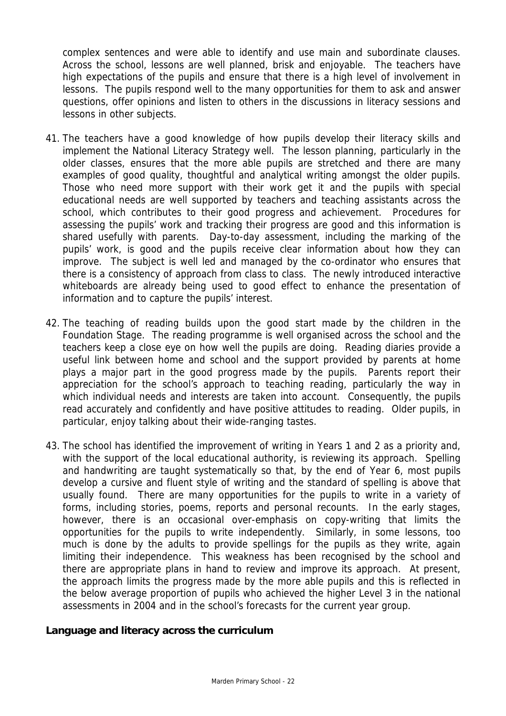complex sentences and were able to identify and use main and subordinate clauses. Across the school, lessons are well planned, brisk and enjoyable. The teachers have high expectations of the pupils and ensure that there is a high level of involvement in lessons. The pupils respond well to the many opportunities for them to ask and answer questions, offer opinions and listen to others in the discussions in literacy sessions and lessons in other subjects.

- 41. The teachers have a good knowledge of how pupils develop their literacy skills and implement the National Literacy Strategy well. The lesson planning, particularly in the older classes, ensures that the more able pupils are stretched and there are many examples of good quality, thoughtful and analytical writing amongst the older pupils. Those who need more support with their work get it and the pupils with special educational needs are well supported by teachers and teaching assistants across the school, which contributes to their good progress and achievement. Procedures for assessing the pupils' work and tracking their progress are good and this information is shared usefully with parents. Day-to-day assessment, including the marking of the pupils' work, is good and the pupils receive clear information about how they can improve. The subject is well led and managed by the co-ordinator who ensures that there is a consistency of approach from class to class. The newly introduced interactive whiteboards are already being used to good effect to enhance the presentation of information and to capture the pupils' interest.
- 42. The teaching of reading builds upon the good start made by the children in the Foundation Stage. The reading programme is well organised across the school and the teachers keep a close eye on how well the pupils are doing. Reading diaries provide a useful link between home and school and the support provided by parents at home plays a major part in the good progress made by the pupils. Parents report their appreciation for the school's approach to teaching reading, particularly the way in which individual needs and interests are taken into account. Consequently, the pupils read accurately and confidently and have positive attitudes to reading. Older pupils, in particular, enjoy talking about their wide-ranging tastes.
- 43. The school has identified the improvement of writing in Years 1 and 2 as a priority and, with the support of the local educational authority, is reviewing its approach. Spelling and handwriting are taught systematically so that, by the end of Year 6, most pupils develop a cursive and fluent style of writing and the standard of spelling is above that usually found. There are many opportunities for the pupils to write in a variety of forms, including stories, poems, reports and personal recounts. In the early stages, however, there is an occasional over-emphasis on copy-writing that limits the opportunities for the pupils to write independently. Similarly, in some lessons, too much is done by the adults to provide spellings for the pupils as they write, again limiting their independence. This weakness has been recognised by the school and there are appropriate plans in hand to review and improve its approach. At present, the approach limits the progress made by the more able pupils and this is reflected in the below average proportion of pupils who achieved the higher Level 3 in the national assessments in 2004 and in the school's forecasts for the current year group.

### **Language and literacy across the curriculum**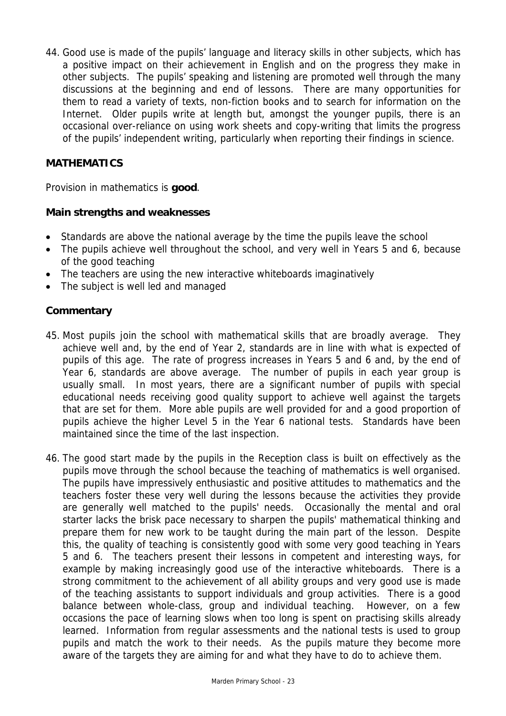44. Good use is made of the pupils' language and literacy skills in other subjects, which has a positive impact on their achievement in English and on the progress they make in other subjects. The pupils' speaking and listening are promoted well through the many discussions at the beginning and end of lessons. There are many opportunities for them to read a variety of texts, non-fiction books and to search for information on the Internet. Older pupils write at length but, amongst the younger pupils, there is an occasional over-reliance on using work sheets and copy-writing that limits the progress of the pupils' independent writing, particularly when reporting their findings in science.

# **MATHEMATICS**

Provision in mathematics is **good**.

# **Main strengths and weaknesses**

- Standards are above the national average by the time the pupils leave the school
- The pupils achieve well throughout the school, and very well in Years 5 and 6, because of the good teaching
- The teachers are using the new interactive whiteboards imaginatively
- The subject is well led and managed

- 45. Most pupils join the school with mathematical skills that are broadly average. They achieve well and, by the end of Year 2, standards are in line with what is expected of pupils of this age. The rate of progress increases in Years 5 and 6 and, by the end of Year 6, standards are above average. The number of pupils in each year group is usually small. In most years, there are a significant number of pupils with special educational needs receiving good quality support to achieve well against the targets that are set for them. More able pupils are well provided for and a good proportion of pupils achieve the higher Level 5 in the Year 6 national tests. Standards have been maintained since the time of the last inspection.
- 46. The good start made by the pupils in the Reception class is built on effectively as the pupils move through the school because the teaching of mathematics is well organised. The pupils have impressively enthusiastic and positive attitudes to mathematics and the teachers foster these very well during the lessons because the activities they provide are generally well matched to the pupils' needs. Occasionally the mental and oral starter lacks the brisk pace necessary to sharpen the pupils' mathematical thinking and prepare them for new work to be taught during the main part of the lesson. Despite this, the quality of teaching is consistently good with some very good teaching in Years 5 and 6. The teachers present their lessons in competent and interesting ways, for example by making increasingly good use of the interactive whiteboards. There is a strong commitment to the achievement of all ability groups and very good use is made of the teaching assistants to support individuals and group activities. There is a good balance between whole-class, group and individual teaching. However, on a few occasions the pace of learning slows when too long is spent on practising skills already learned. Information from regular assessments and the national tests is used to group pupils and match the work to their needs. As the pupils mature they become more aware of the targets they are aiming for and what they have to do to achieve them.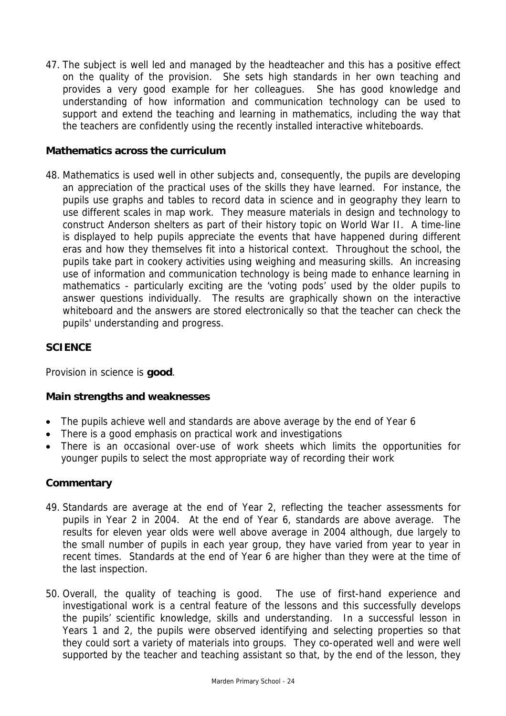47. The subject is well led and managed by the headteacher and this has a positive effect on the quality of the provision. She sets high standards in her own teaching and provides a very good example for her colleagues. She has good knowledge and understanding of how information and communication technology can be used to support and extend the teaching and learning in mathematics, including the way that the teachers are confidently using the recently installed interactive whiteboards.

## **Mathematics across the curriculum**

48. Mathematics is used well in other subjects and, consequently, the pupils are developing an appreciation of the practical uses of the skills they have learned. For instance, the pupils use graphs and tables to record data in science and in geography they learn to use different scales in map work. They measure materials in design and technology to construct Anderson shelters as part of their history topic on World War II. A time-line is displayed to help pupils appreciate the events that have happened during different eras and how they themselves fit into a historical context. Throughout the school, the pupils take part in cookery activities using weighing and measuring skills. An increasing use of information and communication technology is being made to enhance learning in mathematics - particularly exciting are the 'voting pods' used by the older pupils to answer questions individually. The results are graphically shown on the interactive whiteboard and the answers are stored electronically so that the teacher can check the pupils' understanding and progress.

# **SCIENCE**

Provision in science is **good**.

### **Main strengths and weaknesses**

- The pupils achieve well and standards are above average by the end of Year 6
- There is a good emphasis on practical work and investigations
- There is an occasional over-use of work sheets which limits the opportunities for younger pupils to select the most appropriate way of recording their work

- 49. Standards are average at the end of Year 2, reflecting the teacher assessments for pupils in Year 2 in 2004. At the end of Year 6, standards are above average. The results for eleven year olds were well above average in 2004 although, due largely to the small number of pupils in each year group, they have varied from year to year in recent times. Standards at the end of Year 6 are higher than they were at the time of the last inspection.
- 50. Overall, the quality of teaching is good. The use of first-hand experience and investigational work is a central feature of the lessons and this successfully develops the pupils' scientific knowledge, skills and understanding. In a successful lesson in Years 1 and 2, the pupils were observed identifying and selecting properties so that they could sort a variety of materials into groups. They co-operated well and were well supported by the teacher and teaching assistant so that, by the end of the lesson, they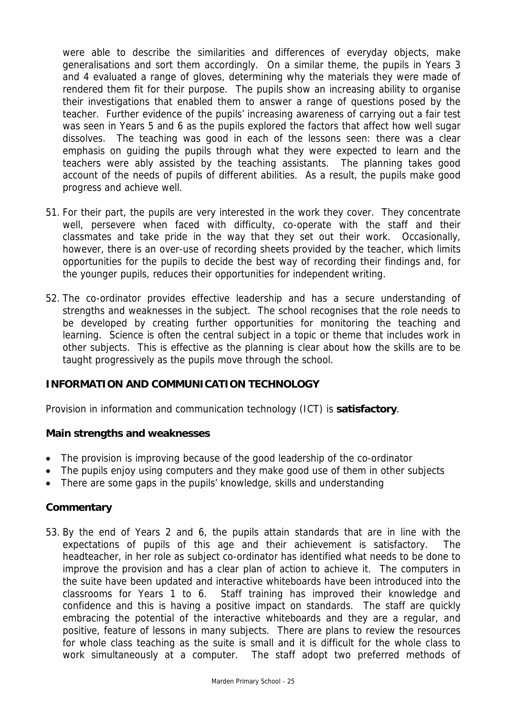were able to describe the similarities and differences of everyday objects, make generalisations and sort them accordingly. On a similar theme, the pupils in Years 3 and 4 evaluated a range of gloves, determining why the materials they were made of rendered them fit for their purpose. The pupils show an increasing ability to organise their investigations that enabled them to answer a range of questions posed by the teacher. Further evidence of the pupils' increasing awareness of carrying out a fair test was seen in Years 5 and 6 as the pupils explored the factors that affect how well sugar dissolves. The teaching was good in each of the lessons seen: there was a clear emphasis on guiding the pupils through what they were expected to learn and the teachers were ably assisted by the teaching assistants. The planning takes good account of the needs of pupils of different abilities. As a result, the pupils make good progress and achieve well.

- 51. For their part, the pupils are very interested in the work they cover. They concentrate well, persevere when faced with difficulty, co-operate with the staff and their classmates and take pride in the way that they set out their work. Occasionally, however, there is an over-use of recording sheets provided by the teacher, which limits opportunities for the pupils to decide the best way of recording their findings and, for the younger pupils, reduces their opportunities for independent writing.
- 52. The co-ordinator provides effective leadership and has a secure understanding of strengths and weaknesses in the subject. The school recognises that the role needs to be developed by creating further opportunities for monitoring the teaching and learning. Science is often the central subject in a topic or theme that includes work in other subjects. This is effective as the planning is clear about how the skills are to be taught progressively as the pupils move through the school.

### **INFORMATION AND COMMUNICATION TECHNOLOGY**

Provision in information and communication technology (ICT) is **satisfactory**.

#### **Main strengths and weaknesses**

- The provision is improving because of the good leadership of the co-ordinator
- The pupils enjoy using computers and they make good use of them in other subjects
- There are some gaps in the pupils' knowledge, skills and understanding

### **Commentary**

53. By the end of Years 2 and 6, the pupils attain standards that are in line with the expectations of pupils of this age and their achievement is satisfactory. The headteacher, in her role as subject co-ordinator has identified what needs to be done to improve the provision and has a clear plan of action to achieve it. The computers in the suite have been updated and interactive whiteboards have been introduced into the classrooms for Years 1 to 6. Staff training has improved their knowledge and confidence and this is having a positive impact on standards. The staff are quickly embracing the potential of the interactive whiteboards and they are a regular, and positive, feature of lessons in many subjects. There are plans to review the resources for whole class teaching as the suite is small and it is difficult for the whole class to work simultaneously at a computer. The staff adopt two preferred methods of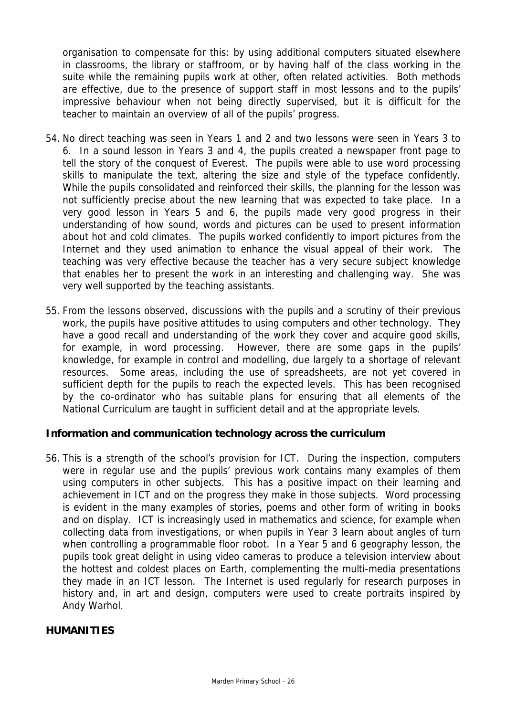organisation to compensate for this: by using additional computers situated elsewhere in classrooms, the library or staffroom, or by having half of the class working in the suite while the remaining pupils work at other, often related activities. Both methods are effective, due to the presence of support staff in most lessons and to the pupils' impressive behaviour when not being directly supervised, but it is difficult for the teacher to maintain an overview of all of the pupils' progress.

- 54. No direct teaching was seen in Years 1 and 2 and two lessons were seen in Years 3 to 6. In a sound lesson in Years 3 and 4, the pupils created a newspaper front page to tell the story of the conquest of Everest. The pupils were able to use word processing skills to manipulate the text, altering the size and style of the typeface confidently. While the pupils consolidated and reinforced their skills, the planning for the lesson was not sufficiently precise about the new learning that was expected to take place. In a very good lesson in Years 5 and 6, the pupils made very good progress in their understanding of how sound, words and pictures can be used to present information about hot and cold climates. The pupils worked confidently to import pictures from the Internet and they used animation to enhance the visual appeal of their work. The teaching was very effective because the teacher has a very secure subject knowledge that enables her to present the work in an interesting and challenging way. She was very well supported by the teaching assistants.
- 55. From the lessons observed, discussions with the pupils and a scrutiny of their previous work, the pupils have positive attitudes to using computers and other technology. They have a good recall and understanding of the work they cover and acquire good skills, for example, in word processing. However, there are some gaps in the pupils' knowledge, for example in control and modelling, due largely to a shortage of relevant resources. Some areas, including the use of spreadsheets, are not yet covered in sufficient depth for the pupils to reach the expected levels. This has been recognised by the co-ordinator who has suitable plans for ensuring that all elements of the National Curriculum are taught in sufficient detail and at the appropriate levels.

### **Information and communication technology across the curriculum**

56. This is a strength of the school's provision for ICT. During the inspection, computers were in regular use and the pupils' previous work contains many examples of them using computers in other subjects. This has a positive impact on their learning and achievement in ICT and on the progress they make in those subjects. Word processing is evident in the many examples of stories, poems and other form of writing in books and on display. ICT is increasingly used in mathematics and science, for example when collecting data from investigations, or when pupils in Year 3 learn about angles of turn when controlling a programmable floor robot. In a Year 5 and 6 geography lesson, the pupils took great delight in using video cameras to produce a television interview about the hottest and coldest places on Earth, complementing the multi-media presentations they made in an ICT lesson. The Internet is used regularly for research purposes in history and, in art and design, computers were used to create portraits inspired by Andy Warhol.

#### **HUMANITIES**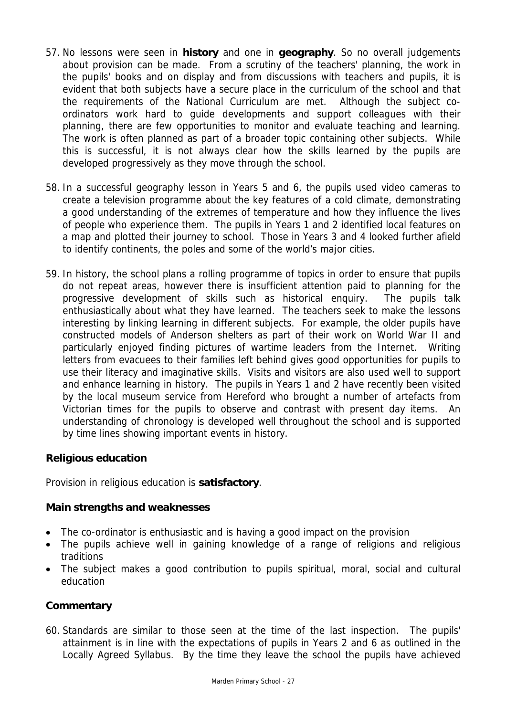- 57. No lessons were seen in **history** and one in **geography**. So no overall judgements about provision can be made. From a scrutiny of the teachers' planning, the work in the pupils' books and on display and from discussions with teachers and pupils, it is evident that both subjects have a secure place in the curriculum of the school and that the requirements of the National Curriculum are met. Although the subject coordinators work hard to guide developments and support colleagues with their planning, there are few opportunities to monitor and evaluate teaching and learning. The work is often planned as part of a broader topic containing other subjects. While this is successful, it is not always clear how the skills learned by the pupils are developed progressively as they move through the school.
- 58. In a successful geography lesson in Years 5 and 6, the pupils used video cameras to create a television programme about the key features of a cold climate, demonstrating a good understanding of the extremes of temperature and how they influence the lives of people who experience them. The pupils in Years 1 and 2 identified local features on a map and plotted their journey to school. Those in Years 3 and 4 looked further afield to identify continents, the poles and some of the world's major cities.
- 59. In history, the school plans a rolling programme of topics in order to ensure that pupils do not repeat areas, however there is insufficient attention paid to planning for the progressive development of skills such as historical enquiry. The pupils talk enthusiastically about what they have learned. The teachers seek to make the lessons interesting by linking learning in different subjects. For example, the older pupils have constructed models of Anderson shelters as part of their work on World War II and particularly enjoyed finding pictures of wartime leaders from the Internet. Writing letters from evacuees to their families left behind gives good opportunities for pupils to use their literacy and imaginative skills. Visits and visitors are also used well to support and enhance learning in history. The pupils in Years 1 and 2 have recently been visited by the local museum service from Hereford who brought a number of artefacts from Victorian times for the pupils to observe and contrast with present day items. An understanding of chronology is developed well throughout the school and is supported by time lines showing important events in history.

### **Religious education**

Provision in religious education is **satisfactory**.

# **Main strengths and weaknesses**

- The co-ordinator is enthusiastic and is having a good impact on the provision
- The pupils achieve well in gaining knowledge of a range of religions and religious traditions
- The subject makes a good contribution to pupils spiritual, moral, social and cultural education

# **Commentary**

60. Standards are similar to those seen at the time of the last inspection. The pupils' attainment is in line with the expectations of pupils in Years 2 and 6 as outlined in the Locally Agreed Syllabus. By the time they leave the school the pupils have achieved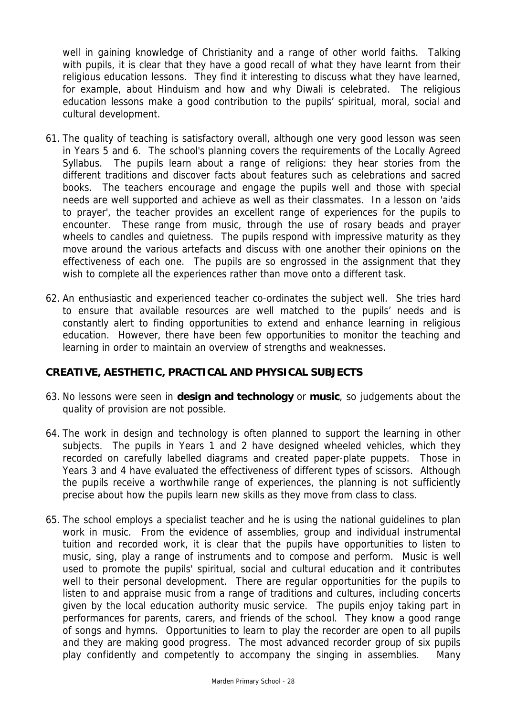well in gaining knowledge of Christianity and a range of other world faiths. Talking with pupils, it is clear that they have a good recall of what they have learnt from their religious education lessons. They find it interesting to discuss what they have learned, for example, about Hinduism and how and why Diwali is celebrated. The religious education lessons make a good contribution to the pupils' spiritual, moral, social and cultural development.

- 61. The quality of teaching is satisfactory overall, although one very good lesson was seen in Years 5 and 6. The school's planning covers the requirements of the Locally Agreed Syllabus. The pupils learn about a range of religions: they hear stories from the different traditions and discover facts about features such as celebrations and sacred books. The teachers encourage and engage the pupils well and those with special needs are well supported and achieve as well as their classmates. In a lesson on 'aids to prayer', the teacher provides an excellent range of experiences for the pupils to encounter. These range from music, through the use of rosary beads and prayer wheels to candles and quietness. The pupils respond with impressive maturity as they move around the various artefacts and discuss with one another their opinions on the effectiveness of each one. The pupils are so engrossed in the assignment that they wish to complete all the experiences rather than move onto a different task.
- 62. An enthusiastic and experienced teacher co-ordinates the subject well. She tries hard to ensure that available resources are well matched to the pupils' needs and is constantly alert to finding opportunities to extend and enhance learning in religious education. However, there have been few opportunities to monitor the teaching and learning in order to maintain an overview of strengths and weaknesses.

### **CREATIVE, AESTHETIC, PRACTICAL AND PHYSICAL SUBJECTS**

- 63. No lessons were seen in **design and technology** or **music**, so judgements about the quality of provision are not possible.
- 64. The work in design and technology is often planned to support the learning in other subjects. The pupils in Years 1 and 2 have designed wheeled vehicles, which they recorded on carefully labelled diagrams and created paper-plate puppets. Those in Years 3 and 4 have evaluated the effectiveness of different types of scissors. Although the pupils receive a worthwhile range of experiences, the planning is not sufficiently precise about how the pupils learn new skills as they move from class to class.
- 65. The school employs a specialist teacher and he is using the national guidelines to plan work in music. From the evidence of assemblies, group and individual instrumental tuition and recorded work, it is clear that the pupils have opportunities to listen to music, sing, play a range of instruments and to compose and perform. Music is well used to promote the pupils' spiritual, social and cultural education and it contributes well to their personal development. There are regular opportunities for the pupils to listen to and appraise music from a range of traditions and cultures, including concerts given by the local education authority music service. The pupils enjoy taking part in performances for parents, carers, and friends of the school. They know a good range of songs and hymns. Opportunities to learn to play the recorder are open to all pupils and they are making good progress. The most advanced recorder group of six pupils play confidently and competently to accompany the singing in assemblies. Many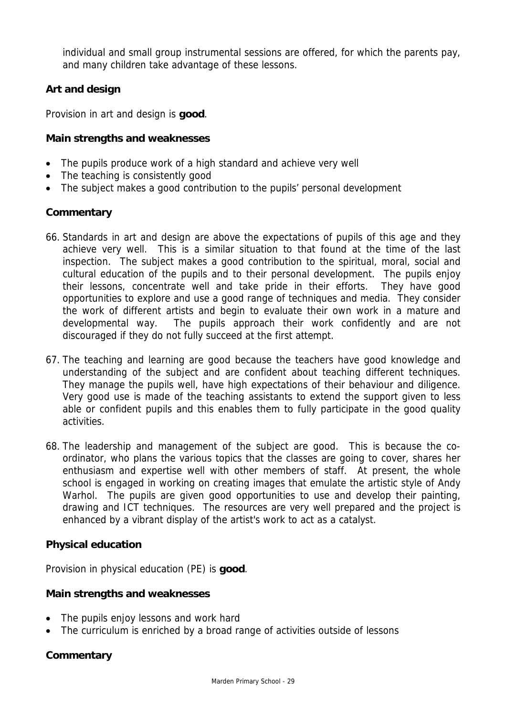individual and small group instrumental sessions are offered, for which the parents pay, and many children take advantage of these lessons.

# **Art and design**

Provision in art and design is **good**.

## **Main strengths and weaknesses**

- The pupils produce work of a high standard and achieve very well
- The teaching is consistently good
- The subject makes a good contribution to the pupils' personal development

### **Commentary**

- 66. Standards in art and design are above the expectations of pupils of this age and they achieve very well. This is a similar situation to that found at the time of the last inspection. The subject makes a good contribution to the spiritual, moral, social and cultural education of the pupils and to their personal development. The pupils enjoy their lessons, concentrate well and take pride in their efforts. They have good opportunities to explore and use a good range of techniques and media. They consider the work of different artists and begin to evaluate their own work in a mature and developmental way. The pupils approach their work confidently and are not discouraged if they do not fully succeed at the first attempt.
- 67. The teaching and learning are good because the teachers have good knowledge and understanding of the subject and are confident about teaching different techniques. They manage the pupils well, have high expectations of their behaviour and diligence. Very good use is made of the teaching assistants to extend the support given to less able or confident pupils and this enables them to fully participate in the good quality activities.
- 68. The leadership and management of the subject are good. This is because the coordinator, who plans the various topics that the classes are going to cover, shares her enthusiasm and expertise well with other members of staff. At present, the whole school is engaged in working on creating images that emulate the artistic style of Andy Warhol. The pupils are given good opportunities to use and develop their painting, drawing and ICT techniques. The resources are very well prepared and the project is enhanced by a vibrant display of the artist's work to act as a catalyst.

### **Physical education**

Provision in physical education (PE) is **good**.

### **Main strengths and weaknesses**

- The pupils enjoy lessons and work hard
- The curriculum is enriched by a broad range of activities outside of lessons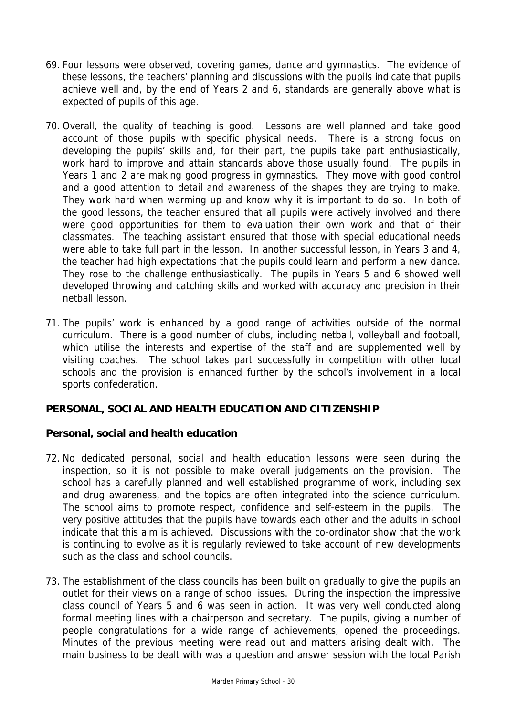- 69. Four lessons were observed, covering games, dance and gymnastics. The evidence of these lessons, the teachers' planning and discussions with the pupils indicate that pupils achieve well and, by the end of Years 2 and 6, standards are generally above what is expected of pupils of this age.
- 70. Overall, the quality of teaching is good. Lessons are well planned and take good account of those pupils with specific physical needs. There is a strong focus on developing the pupils' skills and, for their part, the pupils take part enthusiastically, work hard to improve and attain standards above those usually found. The pupils in Years 1 and 2 are making good progress in gymnastics. They move with good control and a good attention to detail and awareness of the shapes they are trying to make. They work hard when warming up and know why it is important to do so. In both of the good lessons, the teacher ensured that all pupils were actively involved and there were good opportunities for them to evaluation their own work and that of their classmates. The teaching assistant ensured that those with special educational needs were able to take full part in the lesson. In another successful lesson, in Years 3 and 4, the teacher had high expectations that the pupils could learn and perform a new dance. They rose to the challenge enthusiastically. The pupils in Years 5 and 6 showed well developed throwing and catching skills and worked with accuracy and precision in their netball lesson.
- 71. The pupils' work is enhanced by a good range of activities outside of the normal curriculum. There is a good number of clubs, including netball, volleyball and football, which utilise the interests and expertise of the staff and are supplemented well by visiting coaches. The school takes part successfully in competition with other local schools and the provision is enhanced further by the school's involvement in a local sports confederation.

### **PERSONAL, SOCIAL AND HEALTH EDUCATION AND CITIZENSHIP**

### **Personal, social and health education**

- 72. No dedicated personal, social and health education lessons were seen during the inspection, so it is not possible to make overall judgements on the provision. The school has a carefully planned and well established programme of work, including sex and drug awareness, and the topics are often integrated into the science curriculum. The school aims to promote respect, confidence and self-esteem in the pupils. The very positive attitudes that the pupils have towards each other and the adults in school indicate that this aim is achieved. Discussions with the co-ordinator show that the work is continuing to evolve as it is regularly reviewed to take account of new developments such as the class and school councils.
- 73. The establishment of the class councils has been built on gradually to give the pupils an outlet for their views on a range of school issues. During the inspection the impressive class council of Years 5 and 6 was seen in action. It was very well conducted along formal meeting lines with a chairperson and secretary. The pupils, giving a number of people congratulations for a wide range of achievements, opened the proceedings. Minutes of the previous meeting were read out and matters arising dealt with. The main business to be dealt with was a question and answer session with the local Parish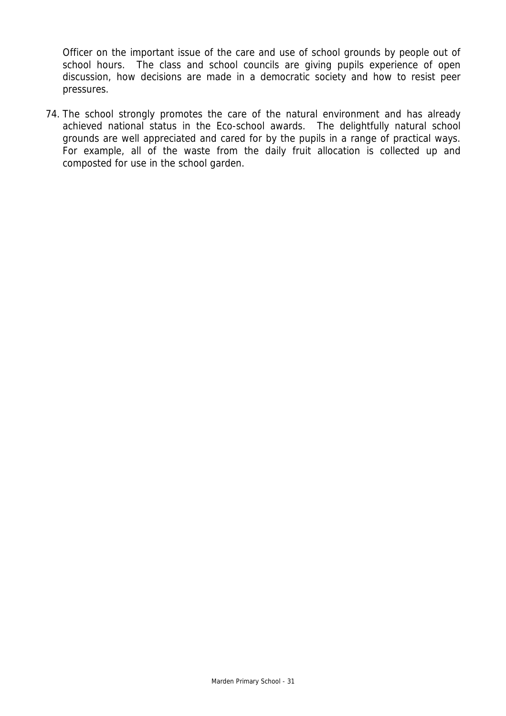Officer on the important issue of the care and use of school grounds by people out of school hours. The class and school councils are giving pupils experience of open discussion, how decisions are made in a democratic society and how to resist peer pressures.

74. The school strongly promotes the care of the natural environment and has already achieved national status in the Eco-school awards. The delightfully natural school grounds are well appreciated and cared for by the pupils in a range of practical ways. For example, all of the waste from the daily fruit allocation is collected up and composted for use in the school garden.